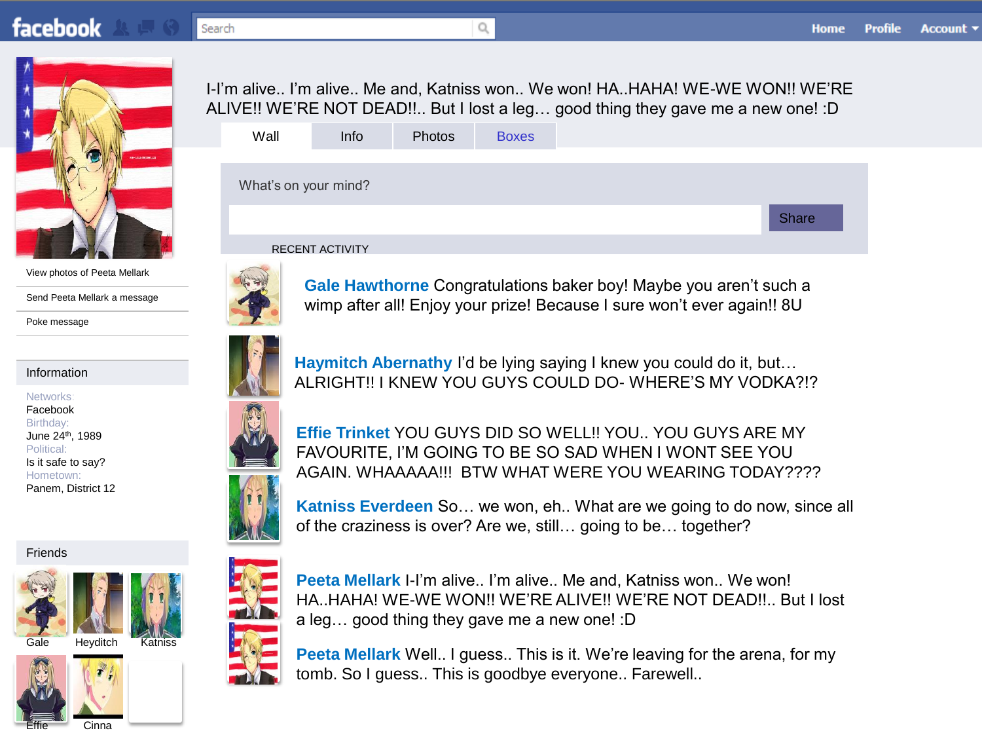

View photos of Peeta Mellark

Send Peeta Mellark a message

Poke message

#### Information

Networks: Facebook Birthday: June 24th, 1989 Political: Is it safe to say? Hometown: Panem, District 12

#### Friends







Cinna





I-I'm alive.. I'm alive.. Me and, Katniss won.. We won! HA..HAHA! WE-WE WON!! WE'RE ALIVE!! WE'RE NOT DEAD!!.. But I lost a leg… good thing they gave me a new one! :D

| Wall                 | Info                | Photos | <b>Boxes</b> |  |              |
|----------------------|---------------------|--------|--------------|--|--------------|
|                      |                     |        |              |  |              |
| What's on your mind? |                     |        |              |  |              |
|                      |                     |        |              |  | <b>Share</b> |
|                      | $P = 2 - 1$ $P = 1$ |        |              |  |              |





**Gale Hawthorne** Congratulations baker boy! Maybe you aren't such a wimp after all! Enjoy your prize! Because I sure won't ever again!! 8U





**Haymitch Abernathy** I'd be lying saying I knew you could do it, but… ALRIGHT!! I KNEW YOU GUYS COULD DO- WHERE'S MY VODKA?!?

**Effie Trinket** YOU GUYS DID SO WELL!! YOU.. YOU GUYS ARE MY FAVOURITE, I'M GOING TO BE SO SAD WHEN I WONT SEE YOU AGAIN. WHAAAAA!!! BTW WHAT WERE YOU WEARING TODAY????

**Katniss Everdeen** So… we won, eh.. What are we going to do now, since all of the craziness is over? Are we, still… going to be… together?



**Peeta Mellark** I-I'm alive.. I'm alive.. Me and, Katniss won.. We won! HA..HAHA! WE-WE WON!! WE'RE ALIVE!! WE'RE NOT DEAD!!.. But I lost a leg… good thing they gave me a new one! :D

**Peeta Mellark** Well.. I guess.. This is it. We're leaving for the arena, for my tomb. So I guess.. This is goodbye everyone.. Farewell..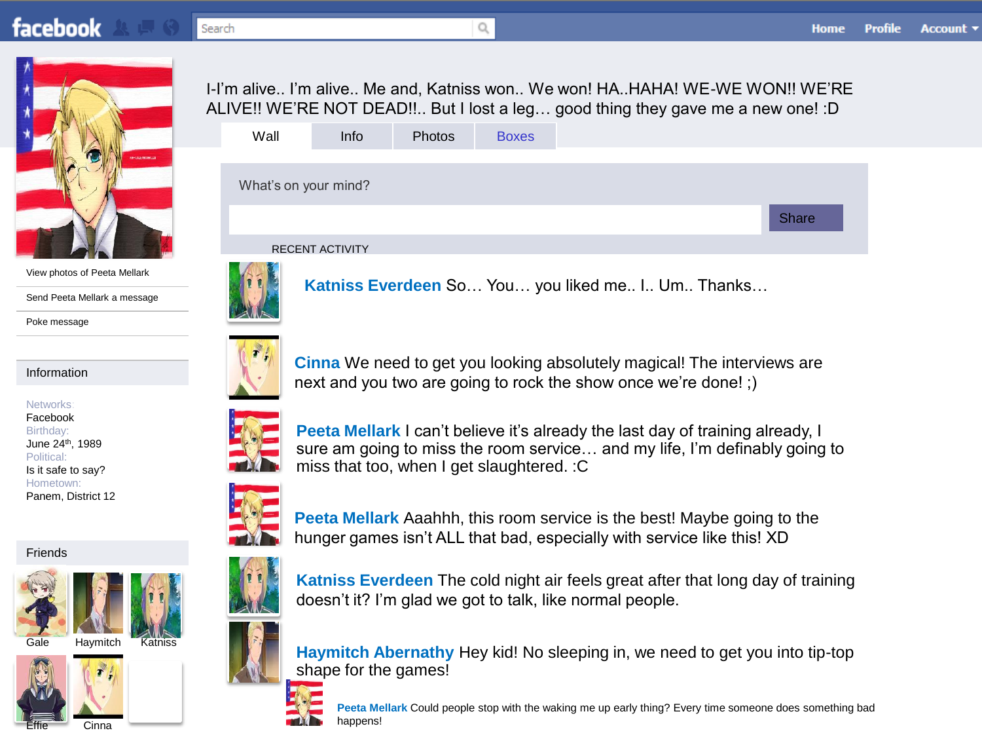# **facebook**



View photos of Peeta Mellark

Send Peeta Mellark a message

Poke message

### Information

Networks: Facebook Birthday: June 24th, 1989 Political: Is it safe to say? Hometown: Panem, District 12

#### Friends



Haymitch Katniss

<span id="page-1-0"></span>





|  |  |  | I-I'm alive I'm alive Me and, Katniss won We won! HAHAHA! WE-WE WON!! WE'RE     |  |  |  |  |  |  |
|--|--|--|---------------------------------------------------------------------------------|--|--|--|--|--|--|
|  |  |  | ALIVE!! WE'RE NOT DEAD!! But I lost a leg good thing they gave me a new one! :D |  |  |  |  |  |  |
|  |  |  |                                                                                 |  |  |  |  |  |  |

| Wall                 | Info                   | Photos | <b>Boxes</b> |  |       |
|----------------------|------------------------|--------|--------------|--|-------|
|                      |                        |        |              |  |       |
| What's on your mind? |                        |        |              |  |       |
|                      |                        |        |              |  | Share |
|                      | <b>RECENT ACTIVITY</b> |        |              |  |       |
|                      |                        |        |              |  |       |



**Katniss Everdeen** So… You… you liked me.. I.. Um.. Thanks…





**Cinna** We need to get you looking absolutely magical! The interviews are next and you two are going to rock the show once we're done! ;)



**Peeta Mellark** I can't believe it's already the last day of training already, I sure am going to miss the room service… and my life, I'm definably going to miss that too, when I get slaughtered. :C

**Peeta Mellark** Aaahhh, this room service is the best! Maybe going to the hunger games isn't ALL that bad, especially with service like this! XD





**Katniss Everdeen** The cold night air feels great after that long day of training doesn't it? I'm glad we got to talk, like normal people.

**Haymitch Abernathy** Hey kid! No sleeping in, we need to get you into tip-top shape for the games!



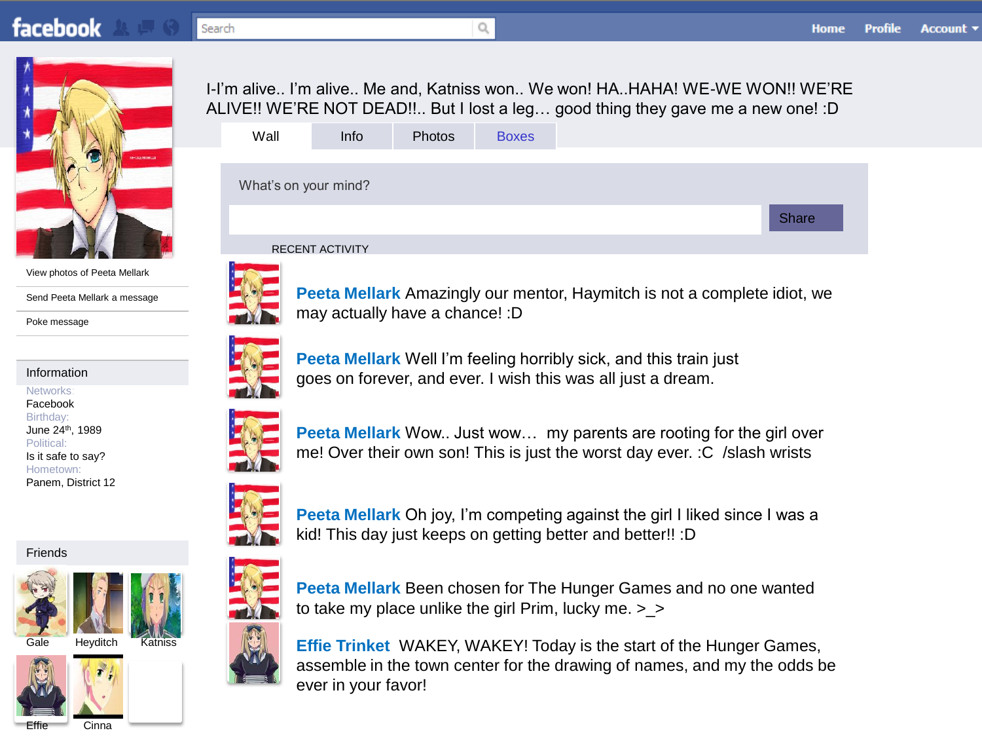

View photos of Peeta Mellark

Send Peeta Mellark a message

Poke message

#### Information

Networks: Facebook Birthday: June 24th, 1989 Political: Is it safe to say? Hometown: Panem, District 12

#### Friends





<span id="page-2-0"></span>Cinna

I-I'm alive.. I'm alive.. Me and, Katniss won.. We won! HA..HAHA! WE-WE WON!! WE'RE ALIVE!! WE'RE NOT DEAD!!.. But I lost a leg… good thing they gave me a new one! :D

| Wall                 | Info | Photos | <b>Boxes</b> |  |              |  |
|----------------------|------|--------|--------------|--|--------------|--|
|                      |      |        |              |  |              |  |
| What's on your mind? |      |        |              |  |              |  |
|                      |      |        |              |  | <b>Share</b> |  |
|                      |      |        |              |  |              |  |



**Peeta Mellark** Amazingly our mentor, Haymitch is not a complete idiot, we may actually have a chance! :D



**Peeta Mellark** Well I'm feeling horribly sick, and this train just goes on forever, and ever. I wish this was all just a dream.

kid! This day just keeps on getting better and better!! :D



me! Over their own son! This is just the worst day ever. :C /slash wrists



**Peeta Mellark** Been chosen for The Hunger Games and no one wanted to take my place unlike the girl Prim, lucky me. >\_>

**Peeta Mellark** Oh joy, I'm competing against the girl I liked since I was a

**Effie Trinket** WAKEY, WAKEY! Today is the start of the Hunger Games, assemble in the town center for the drawing of names, and my the odds be ever in your favor!



**Peeta Mellark** Wow.. Just wow… my parents are rooting for the girl over